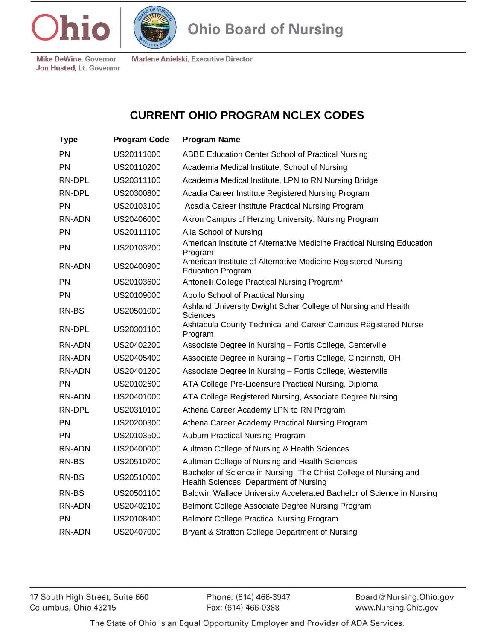



Marlene Anielski, Executive Director

**Ohio Board of Nursing** 

**Mike DeWine, Governor** Jon Husted, Lt. Governor

## **CURRENT OHIO PROGRAM NCLEX CODES**

| <b>Type</b>   | <b>Program Code</b> | <b>Program Name</b>                                                                                         |
|---------------|---------------------|-------------------------------------------------------------------------------------------------------------|
| PN            | US20111000          | ABBE Education Center School of Practical Nursing                                                           |
| PN            | US20110200          | Academia Medical Institute, School of Nursing                                                               |
| RN-DPL        | US20311100          | Academia Medical Institute, LPN to RN Nursing Bridge                                                        |
| RN-DPL        | US20300800          | Acadia Career Institute Registered Nursing Program                                                          |
| <b>PN</b>     | US20103100          | Acadia Career Institute Practical Nursing Program                                                           |
| RN-ADN        | US20406000          | Akron Campus of Herzing University, Nursing Program                                                         |
| <b>PN</b>     | US20111100          | Alia School of Nursing                                                                                      |
| PN            | US20103200          | American Institute of Alternative Medicine Practical Nursing Education<br>Program                           |
| <b>RN-ADN</b> | US20400900          | American Institute of Alternative Medicine Registered Nursing<br><b>Education Program</b>                   |
| <b>PN</b>     | US20103600          | Antonelli College Practical Nursing Program*                                                                |
| PN            | US20109000          | Apollo School of Practical Nursing                                                                          |
| RN-BS         | US20501000          | Ashland University Dwight Schar College of Nursing and Health<br>Sciences                                   |
| RN-DPL        | US20301100          | Ashtabula County Technical and Career Campus Registered Nurse<br>Program                                    |
| RN-ADN        | US20402200          | Associate Degree in Nursing - Fortis College, Centerville                                                   |
| RN-ADN        | US20405400          | Associate Degree in Nursing - Fortis College, Cincinnati, OH                                                |
| RN-ADN        | US20401200          | Associate Degree in Nursing - Fortis College, Westerville                                                   |
| PN            | US20102600          | ATA College Pre-Licensure Practical Nursing, Diploma                                                        |
| RN-ADN        | US20401000          | ATA College Registered Nursing, Associate Degree Nursing                                                    |
| RN-DPL        | US20310100          | Athena Career Academy LPN to RN Program                                                                     |
| <b>PN</b>     | US20200300          | Athena Career Academy Practical Nursing Program                                                             |
| PN            | US20103500          | Auburn Practical Nursing Program                                                                            |
| RN-ADN        | US20400000          | Aultman College of Nursing & Health Sciences                                                                |
| RN-BS         | US20510200          | Aultman College of Nursing and Health Sciences                                                              |
| RN-BS         | US20510000          | Bachelor of Science in Nursing, The Christ College of Nursing and<br>Health Sciences, Department of Nursing |
| RN-BS         | US20501100          | Baldwin Wallace University Accelerated Bachelor of Science in Nursing                                       |
| RN-ADN        | US20402100          | Belmont College Associate Degree Nursing Program                                                            |
| <b>PN</b>     | US20108400          | <b>Belmont College Practical Nursing Program</b>                                                            |
| RN-ADN        | US20407000          | Bryant & Stratton College Department of Nursing                                                             |
|               |                     |                                                                                                             |

17 South High Street, Suite 660 Columbus, Ohio 43215

Phone: (614) 466-3947 Fax: (614) 466-0388

Board@Nursing.Ohio.gov www.Nursing.Ohio.gov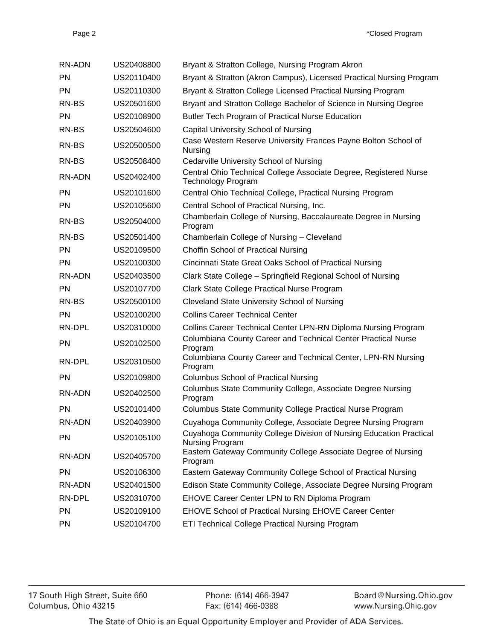| RN-ADN        | US20408800 | Bryant & Stratton College, Nursing Program Akron                                               |
|---------------|------------|------------------------------------------------------------------------------------------------|
| <b>PN</b>     | US20110400 | Bryant & Stratton (Akron Campus), Licensed Practical Nursing Program                           |
| <b>PN</b>     | US20110300 | Bryant & Stratton College Licensed Practical Nursing Program                                   |
| RN-BS         | US20501600 | Bryant and Stratton College Bachelor of Science in Nursing Degree                              |
| <b>PN</b>     | US20108900 | Butler Tech Program of Practical Nurse Education                                               |
| RN-BS         | US20504600 | Capital University School of Nursing                                                           |
| RN-BS         | US20500500 | Case Western Reserve University Frances Payne Bolton School of<br>Nursing                      |
| RN-BS         | US20508400 | Cedarville University School of Nursing                                                        |
| RN-ADN        | US20402400 | Central Ohio Technical College Associate Degree, Registered Nurse<br><b>Technology Program</b> |
| <b>PN</b>     | US20101600 | Central Ohio Technical College, Practical Nursing Program                                      |
| <b>PN</b>     | US20105600 | Central School of Practical Nursing, Inc.                                                      |
| RN-BS         | US20504000 | Chamberlain College of Nursing, Baccalaureate Degree in Nursing<br>Program                     |
| RN-BS         | US20501400 | Chamberlain College of Nursing - Cleveland                                                     |
| PN            | US20109500 | Choffin School of Practical Nursing                                                            |
| <b>PN</b>     | US20100300 | Cincinnati State Great Oaks School of Practical Nursing                                        |
| RN-ADN        | US20403500 | Clark State College - Springfield Regional School of Nursing                                   |
| <b>PN</b>     | US20107700 | Clark State College Practical Nurse Program                                                    |
| RN-BS         | US20500100 | <b>Cleveland State University School of Nursing</b>                                            |
| <b>PN</b>     | US20100200 | <b>Collins Career Technical Center</b>                                                         |
| RN-DPL        | US20310000 | Collins Career Technical Center LPN-RN Diploma Nursing Program                                 |
| <b>PN</b>     | US20102500 | Columbiana County Career and Technical Center Practical Nurse<br>Program                       |
| RN-DPL        | US20310500 | Columbiana County Career and Technical Center, LPN-RN Nursing<br>Program                       |
| <b>PN</b>     | US20109800 | <b>Columbus School of Practical Nursing</b>                                                    |
| <b>RN-ADN</b> | US20402500 | Columbus State Community College, Associate Degree Nursing<br>Program                          |
| <b>PN</b>     | US20101400 | Columbus State Community College Practical Nurse Program                                       |
| RN-ADN        | US20403900 | Cuyahoga Community College, Associate Degree Nursing Program                                   |
| PN            | US20105100 | Cuyahoga Community College Division of Nursing Education Practical<br>Nursing Program          |
| RN-ADN        | US20405700 | Eastern Gateway Community College Associate Degree of Nursing<br>Program                       |
| <b>PN</b>     | US20106300 | Eastern Gateway Community College School of Practical Nursing                                  |
| RN-ADN        | US20401500 | Edison State Community College, Associate Degree Nursing Program                               |
| RN-DPL        | US20310700 | EHOVE Career Center LPN to RN Diploma Program                                                  |
| PN            | US20109100 | <b>EHOVE School of Practical Nursing EHOVE Career Center</b>                                   |
| PN            | US20104700 | ETI Technical College Practical Nursing Program                                                |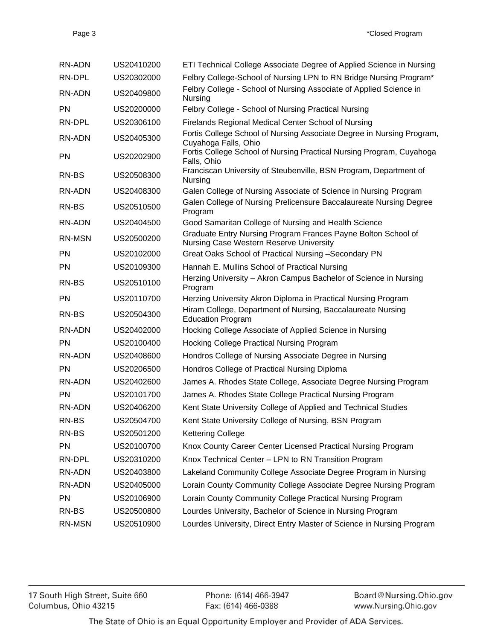| RN-ADN        | US20410200 | ETI Technical College Associate Degree of Applied Science in Nursing                                     |
|---------------|------------|----------------------------------------------------------------------------------------------------------|
| RN-DPL        | US20302000 | Felbry College-School of Nursing LPN to RN Bridge Nursing Program*                                       |
| RN-ADN        | US20409800 | Felbry College - School of Nursing Associate of Applied Science in<br>Nursing                            |
| PN            | US20200000 | Felbry College - School of Nursing Practical Nursing                                                     |
| RN-DPL        | US20306100 | Firelands Regional Medical Center School of Nursing                                                      |
| RN-ADN        | US20405300 | Fortis College School of Nursing Associate Degree in Nursing Program,<br>Cuyahoga Falls, Ohio            |
| <b>PN</b>     | US20202900 | Fortis College School of Nursing Practical Nursing Program, Cuyahoga<br>Falls, Ohio                      |
| RN-BS         | US20508300 | Franciscan University of Steubenville, BSN Program, Department of<br>Nursing                             |
| RN-ADN        | US20408300 | Galen College of Nursing Associate of Science in Nursing Program                                         |
| RN-BS         | US20510500 | Galen College of Nursing Prelicensure Baccalaureate Nursing Degree<br>Program                            |
| RN-ADN        | US20404500 | Good Samaritan College of Nursing and Health Science                                                     |
| <b>RN-MSN</b> | US20500200 | Graduate Entry Nursing Program Frances Payne Bolton School of<br>Nursing Case Western Reserve University |
| <b>PN</b>     | US20102000 | Great Oaks School of Practical Nursing -Secondary PN                                                     |
| <b>PN</b>     | US20109300 | Hannah E. Mullins School of Practical Nursing                                                            |
| RN-BS         | US20510100 | Herzing University - Akron Campus Bachelor of Science in Nursing<br>Program                              |
| <b>PN</b>     | US20110700 | Herzing University Akron Diploma in Practical Nursing Program                                            |
| RN-BS         | US20504300 | Hiram College, Department of Nursing, Baccalaureate Nursing<br><b>Education Program</b>                  |
| RN-ADN        | US20402000 | Hocking College Associate of Applied Science in Nursing                                                  |
| <b>PN</b>     | US20100400 | Hocking College Practical Nursing Program                                                                |
| RN-ADN        | US20408600 | Hondros College of Nursing Associate Degree in Nursing                                                   |
| <b>PN</b>     | US20206500 | Hondros College of Practical Nursing Diploma                                                             |
| RN-ADN        | US20402600 | James A. Rhodes State College, Associate Degree Nursing Program                                          |
| <b>PN</b>     | US20101700 | James A. Rhodes State College Practical Nursing Program                                                  |
| RN-ADN        | US20406200 | Kent State University College of Applied and Technical Studies                                           |
| RN-BS         | US20504700 | Kent State University College of Nursing, BSN Program                                                    |
| RN-BS         | US20501200 | <b>Kettering College</b>                                                                                 |
| PN            | US20100700 | Knox County Career Center Licensed Practical Nursing Program                                             |
| RN-DPL        | US20310200 | Knox Technical Center - LPN to RN Transition Program                                                     |
| RN-ADN        | US20403800 | Lakeland Community College Associate Degree Program in Nursing                                           |
| RN-ADN        | US20405000 | Lorain County Community College Associate Degree Nursing Program                                         |
| PN            | US20106900 | Lorain County Community College Practical Nursing Program                                                |
| RN-BS         | US20500800 | Lourdes University, Bachelor of Science in Nursing Program                                               |
| RN-MSN        | US20510900 | Lourdes University, Direct Entry Master of Science in Nursing Program                                    |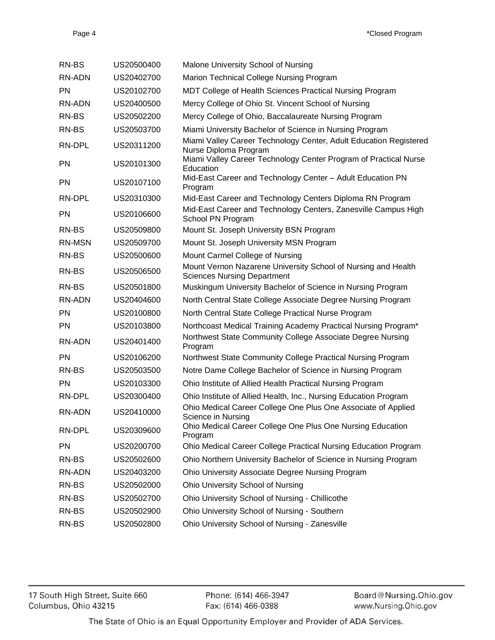| RN-BS         | US20500400 | Malone University School of Nursing                                                                 |
|---------------|------------|-----------------------------------------------------------------------------------------------------|
| RN-ADN        | US20402700 | Marion Technical College Nursing Program                                                            |
| PN            | US20102700 | MDT College of Health Sciences Practical Nursing Program                                            |
| RN-ADN        | US20400500 | Mercy College of Ohio St. Vincent School of Nursing                                                 |
| RN-BS         | US20502200 | Mercy College of Ohio, Baccalaureate Nursing Program                                                |
| RN-BS         | US20503700 | Miami University Bachelor of Science in Nursing Program                                             |
| RN-DPL        | US20311200 | Miami Valley Career Technology Center, Adult Education Registered<br>Nurse Diploma Program          |
| PN            | US20101300 | Miami Valley Career Technology Center Program of Practical Nurse<br>Education                       |
| <b>PN</b>     | US20107100 | Mid-East Career and Technology Center - Adult Education PN<br>Program                               |
| RN-DPL        | US20310300 | Mid-East Career and Technology Centers Diploma RN Program                                           |
| <b>PN</b>     | US20106600 | Mid-East Career and Technology Centers, Zanesville Campus High<br>School PN Program                 |
| RN-BS         | US20509800 | Mount St. Joseph University BSN Program                                                             |
| <b>RN-MSN</b> | US20509700 | Mount St. Joseph University MSN Program                                                             |
| RN-BS         | US20500600 | Mount Carmel College of Nursing                                                                     |
| RN-BS         | US20506500 | Mount Vernon Nazarene University School of Nursing and Health<br><b>Sciences Nursing Department</b> |
| RN-BS         | US20501800 | Muskingum University Bachelor of Science in Nursing Program                                         |
| RN-ADN        | US20404600 | North Central State College Associate Degree Nursing Program                                        |
| <b>PN</b>     | US20100800 | North Central State College Practical Nurse Program                                                 |
| <b>PN</b>     | US20103800 | Northcoast Medical Training Academy Practical Nursing Program*                                      |
| RN-ADN        | US20401400 | Northwest State Community College Associate Degree Nursing<br>Program                               |
| <b>PN</b>     | US20106200 | Northwest State Community College Practical Nursing Program                                         |
| RN-BS         | US20503500 | Notre Dame College Bachelor of Science in Nursing Program                                           |
| <b>PN</b>     | US20103300 | Ohio Institute of Allied Health Practical Nursing Program                                           |
| RN-DPL        | US20300400 | Ohio Institute of Allied Health, Inc., Nursing Education Program                                    |
| RN-ADN        | US20410000 | Ohio Medical Career College One Plus One Associate of Applied<br>Science in Nursing                 |
| RN-DPL        | US20309600 | Ohio Medical Career College One Plus One Nursing Education<br>Program                               |
| <b>PN</b>     | US20200700 | Ohio Medical Career College Practical Nursing Education Program                                     |
| RN-BS         | US20502600 | Ohio Northern University Bachelor of Science in Nursing Program                                     |
| <b>RN-ADN</b> | US20403200 | Ohio University Associate Degree Nursing Program                                                    |
| RN-BS         | US20502000 | <b>Ohio University School of Nursing</b>                                                            |
| RN-BS         | US20502700 | Ohio University School of Nursing - Chillicothe                                                     |
| RN-BS         | US20502900 | Ohio University School of Nursing - Southern                                                        |
| RN-BS         | US20502800 | Ohio University School of Nursing - Zanesville                                                      |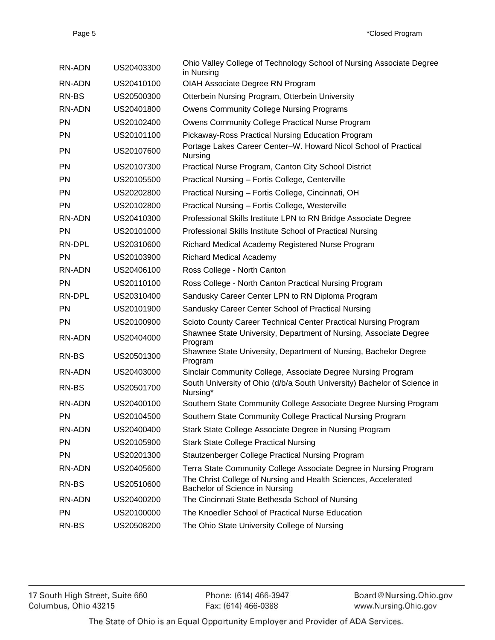| RN-ADN        | US20403300 | Ohio Valley College of Technology School of Nursing Associate Degree<br>in Nursing               |
|---------------|------------|--------------------------------------------------------------------------------------------------|
| <b>RN-ADN</b> | US20410100 | OIAH Associate Degree RN Program                                                                 |
| RN-BS         | US20500300 | Otterbein Nursing Program, Otterbein University                                                  |
| <b>RN-ADN</b> | US20401800 | <b>Owens Community College Nursing Programs</b>                                                  |
| <b>PN</b>     | US20102400 | Owens Community College Practical Nurse Program                                                  |
| <b>PN</b>     | US20101100 | Pickaway-Ross Practical Nursing Education Program                                                |
| <b>PN</b>     | US20107600 | Portage Lakes Career Center-W. Howard Nicol School of Practical<br>Nursing                       |
| <b>PN</b>     | US20107300 | Practical Nurse Program, Canton City School District                                             |
| <b>PN</b>     | US20105500 | Practical Nursing - Fortis College, Centerville                                                  |
| <b>PN</b>     | US20202800 | Practical Nursing - Fortis College, Cincinnati, OH                                               |
| <b>PN</b>     | US20102800 | Practical Nursing - Fortis College, Westerville                                                  |
| <b>RN-ADN</b> | US20410300 | Professional Skills Institute LPN to RN Bridge Associate Degree                                  |
| <b>PN</b>     | US20101000 | Professional Skills Institute School of Practical Nursing                                        |
| RN-DPL        | US20310600 | Richard Medical Academy Registered Nurse Program                                                 |
| <b>PN</b>     | US20103900 | <b>Richard Medical Academy</b>                                                                   |
| <b>RN-ADN</b> | US20406100 | Ross College - North Canton                                                                      |
| <b>PN</b>     | US20110100 | Ross College - North Canton Practical Nursing Program                                            |
| RN-DPL        | US20310400 | Sandusky Career Center LPN to RN Diploma Program                                                 |
| <b>PN</b>     | US20101900 | Sandusky Career Center School of Practical Nursing                                               |
| <b>PN</b>     | US20100900 | Scioto County Career Technical Center Practical Nursing Program                                  |
| <b>RN-ADN</b> | US20404000 | Shawnee State University, Department of Nursing, Associate Degree<br>Program                     |
| RN-BS         | US20501300 | Shawnee State University, Department of Nursing, Bachelor Degree<br>Program                      |
| RN-ADN        | US20403000 | Sinclair Community College, Associate Degree Nursing Program                                     |
| RN-BS         | US20501700 | South University of Ohio (d/b/a South University) Bachelor of Science in<br>Nursing*             |
| RN-ADN        | US20400100 | Southern State Community College Associate Degree Nursing Program                                |
| PN.           | US20104500 | Southern State Community College Practical Nursing Program                                       |
| RN-ADN        | US20400400 | Stark State College Associate Degree in Nursing Program                                          |
| PN            | US20105900 | <b>Stark State College Practical Nursing</b>                                                     |
| PN            | US20201300 | Stautzenberger College Practical Nursing Program                                                 |
| <b>RN-ADN</b> | US20405600 | Terra State Community College Associate Degree in Nursing Program                                |
| RN-BS         | US20510600 | The Christ College of Nursing and Health Sciences, Accelerated<br>Bachelor of Science in Nursing |
| <b>RN-ADN</b> | US20400200 | The Cincinnati State Bethesda School of Nursing                                                  |
| PN            | US20100000 | The Knoedler School of Practical Nurse Education                                                 |
| RN-BS         | US20508200 | The Ohio State University College of Nursing                                                     |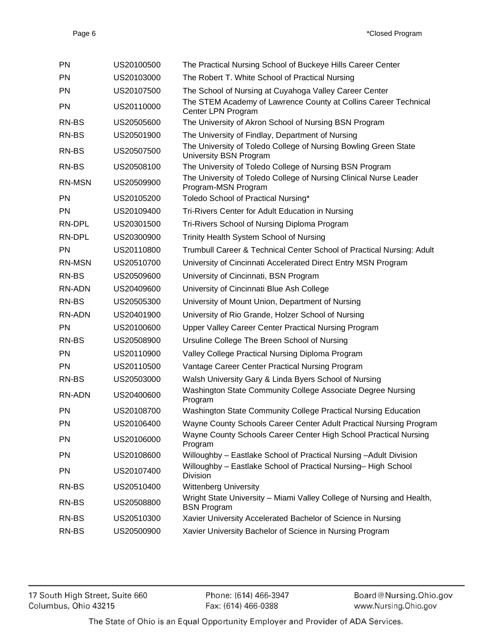| PN            | US20100500 | The Practical Nursing School of Buckeye Hills Career Center                                 |
|---------------|------------|---------------------------------------------------------------------------------------------|
| <b>PN</b>     | US20103000 | The Robert T. White School of Practical Nursing                                             |
| <b>PN</b>     | US20107500 | The School of Nursing at Cuyahoga Valley Career Center                                      |
| PN            | US20110000 | The STEM Academy of Lawrence County at Collins Career Technical<br>Center LPN Program       |
| RN-BS         | US20505600 | The University of Akron School of Nursing BSN Program                                       |
| RN-BS         | US20501900 | The University of Findlay, Department of Nursing                                            |
| RN-BS         | US20507500 | The University of Toledo College of Nursing Bowling Green State<br>University BSN Program   |
| RN-BS         | US20508100 | The University of Toledo College of Nursing BSN Program                                     |
| <b>RN-MSN</b> | US20509900 | The University of Toledo College of Nursing Clinical Nurse Leader<br>Program-MSN Program    |
| <b>PN</b>     | US20105200 | Toledo School of Practical Nursing*                                                         |
| <b>PN</b>     | US20109400 | Tri-Rivers Center for Adult Education in Nursing                                            |
| RN-DPL        | US20301500 | Tri-Rivers School of Nursing Diploma Program                                                |
| RN-DPL        | US20300900 | Trinity Health System School of Nursing                                                     |
| <b>PN</b>     | US20110800 | Trumbull Career & Technical Center School of Practical Nursing: Adult                       |
| <b>RN-MSN</b> | US20510700 | University of Cincinnati Accelerated Direct Entry MSN Program                               |
| RN-BS         | US20509600 | University of Cincinnati, BSN Program                                                       |
| RN-ADN        | US20409600 | University of Cincinnati Blue Ash College                                                   |
| RN-BS         | US20505300 | University of Mount Union, Department of Nursing                                            |
| <b>RN-ADN</b> | US20401900 | University of Rio Grande, Holzer School of Nursing                                          |
| <b>PN</b>     | US20100600 | Upper Valley Career Center Practical Nursing Program                                        |
| RN-BS         | US20508900 | Ursuline College The Breen School of Nursing                                                |
| <b>PN</b>     | US20110900 | Valley College Practical Nursing Diploma Program                                            |
| <b>PN</b>     | US20110500 | Vantage Career Center Practical Nursing Program                                             |
| RN-BS         | US20503000 | Walsh University Gary & Linda Byers School of Nursing                                       |
| <b>RN-ADN</b> | US20400600 | Washington State Community College Associate Degree Nursing<br>Program                      |
| PN            | US20108700 | Washington State Community College Practical Nursing Education                              |
| PN            | US20106400 | Wayne County Schools Career Center Adult Practical Nursing Program                          |
| PN            | US20106000 | Wayne County Schools Career Center High School Practical Nursing<br>Program                 |
| PN            | US20108600 | Willoughby - Eastlake School of Practical Nursing - Adult Division                          |
| PN            | US20107400 | Willoughby - Eastlake School of Practical Nursing-High School<br>Division                   |
| RN-BS         | US20510400 | <b>Wittenberg University</b>                                                                |
| RN-BS         | US20508800 | Wright State University - Miami Valley College of Nursing and Health,<br><b>BSN Program</b> |
| RN-BS         | US20510300 | Xavier University Accelerated Bachelor of Science in Nursing                                |
| RN-BS         | US20500900 | Xavier University Bachelor of Science in Nursing Program                                    |